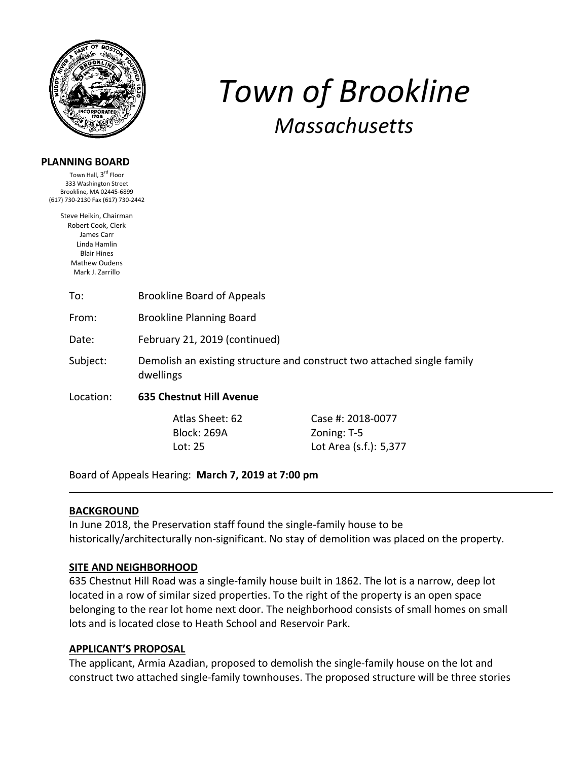

### **PLANNING BOARD**

Town Hall, 3<sup>rd</sup> Floor 333 Washington Street Brookline, MA 02445‐6899 (617) 730‐2130 Fax (617) 730‐2442

> Steve Heikin, Chairman Robert Cook, Clerk James Carr Linda Hamlin Blair Hines Mathew Oudens Mark J. Zarrillo

> > To: Brookline Board of Appeals

From: Brookline Planning Board

Date: February 21, 2019 (continued)

Subject: Demolish an existing structure and construct two attached single family dwellings

Location: **635 Chestnut Hill Avenue** 

Block: 269A Zoning: T-5

 Atlas Sheet: 62 Case #: 2018‐0077 Lot: 25 Lot Area (s.f.): 5,377

*Town of Brookline*

*Massachusetts*

Board of Appeals Hearing: **March 7, 2019 at 7:00 pm**

#### **BACKGROUND**

In June 2018, the Preservation staff found the single‐family house to be historically/architecturally non‐significant. No stay of demolition was placed on the property.

#### **SITE AND NEIGHBORHOOD**

635 Chestnut Hill Road was a single‐family house built in 1862. The lot is a narrow, deep lot located in a row of similar sized properties. To the right of the property is an open space belonging to the rear lot home next door. The neighborhood consists of small homes on small lots and is located close to Heath School and Reservoir Park.

#### **APPLICANT'S PROPOSAL**

The applicant, Armia Azadian, proposed to demolish the single‐family house on the lot and construct two attached single‐family townhouses. The proposed structure will be three stories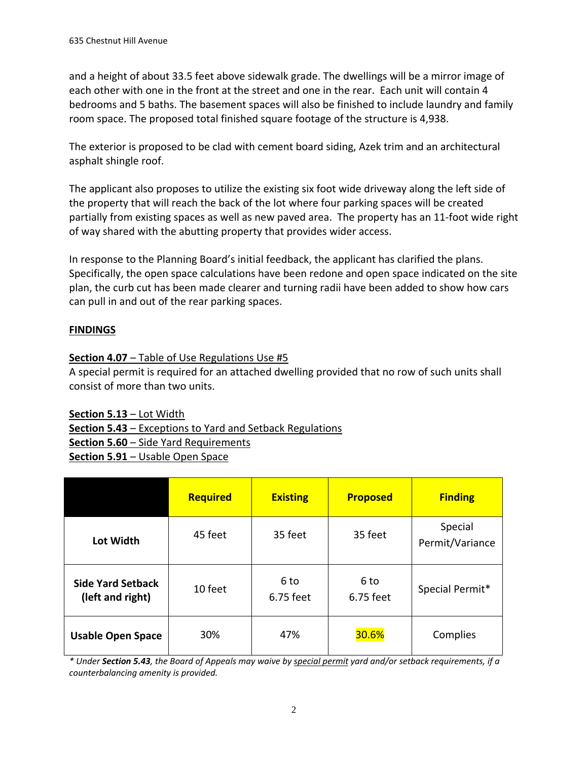and a height of about 33.5 feet above sidewalk grade. The dwellings will be a mirror image of each other with one in the front at the street and one in the rear. Each unit will contain 4 bedrooms and 5 baths. The basement spaces will also be finished to include laundry and family room space. The proposed total finished square footage of the structure is 4,938.

The exterior is proposed to be clad with cement board siding, Azek trim and an architectural asphalt shingle roof.

The applicant also proposes to utilize the existing six foot wide driveway along the left side of the property that will reach the back of the lot where four parking spaces will be created partially from existing spaces as well as new paved area. The property has an 11‐foot wide right of way shared with the abutting property that provides wider access.

In response to the Planning Board's initial feedback, the applicant has clarified the plans. Specifically, the open space calculations have been redone and open space indicated on the site plan, the curb cut has been made clearer and turning radii have been added to show how cars can pull in and out of the rear parking spaces.

# **FINDINGS**

# **Section 4.07** – Table of Use Regulations Use #5

A special permit is required for an attached dwelling provided that no row of such units shall consist of more than two units.

# **Section 5.13** – Lot Width

**Section 5.43** – Exceptions to Yard and Setback Regulations

**Section 5.60** – Side Yard Requirements

**Section 5.91** – Usable Open Space

|                                              | <b>Required</b> | <b>Existing</b>   | <b>Proposed</b>   | <b>Finding</b>             |
|----------------------------------------------|-----------------|-------------------|-------------------|----------------------------|
| Lot Width                                    | 45 feet         | 35 feet           | 35 feet           | Special<br>Permit/Variance |
| <b>Side Yard Setback</b><br>(left and right) | 10 feet         | 6 to<br>6.75 feet | 6 to<br>6.75 feet | Special Permit*            |
| <b>Usable Open Space</b>                     | 30%             | 47%               | 30.6%             | Complies                   |

\* Under Section 5.43, the Board of Appeals may waive by special permit yard and/or setback requirements, if a *counterbalancing amenity is provided.*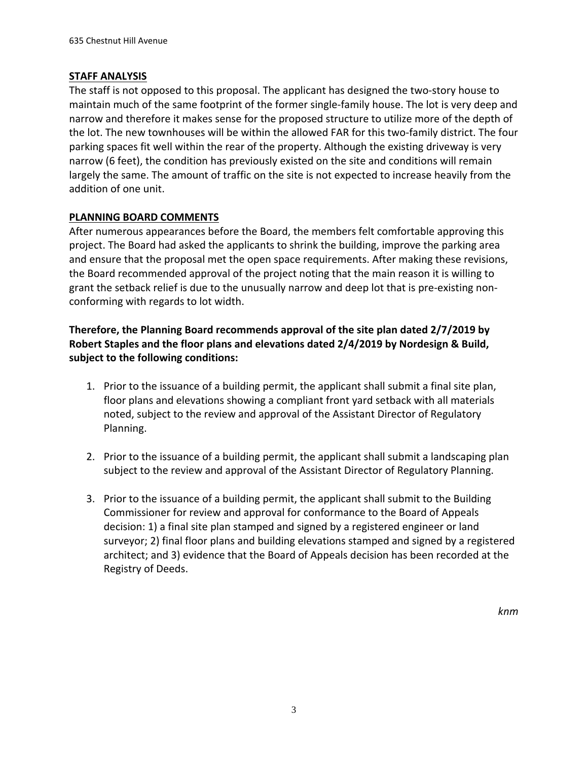### **STAFF ANALYSIS**

The staff is not opposed to this proposal. The applicant has designed the two‐story house to maintain much of the same footprint of the former single‐family house. The lot is very deep and narrow and therefore it makes sense for the proposed structure to utilize more of the depth of the lot. The new townhouses will be within the allowed FAR for this two-family district. The four parking spaces fit well within the rear of the property. Although the existing driveway is very narrow (6 feet), the condition has previously existed on the site and conditions will remain largely the same. The amount of traffic on the site is not expected to increase heavily from the addition of one unit.

# **PLANNING BOARD COMMENTS**

After numerous appearances before the Board, the members felt comfortable approving this project. The Board had asked the applicants to shrink the building, improve the parking area and ensure that the proposal met the open space requirements. After making these revisions, the Board recommended approval of the project noting that the main reason it is willing to grant the setback relief is due to the unusually narrow and deep lot that is pre‐existing non‐ conforming with regards to lot width.

# **Therefore, the Planning Board recommends approval of the site plan dated 2/7/2019 by Robert Staples and the floor plans and elevations dated 2/4/2019 by Nordesign & Build, subject to the following conditions:**

- 1. Prior to the issuance of a building permit, the applicant shall submit a final site plan, floor plans and elevations showing a compliant front yard setback with all materials noted, subject to the review and approval of the Assistant Director of Regulatory Planning.
- 2. Prior to the issuance of a building permit, the applicant shall submit a landscaping plan subject to the review and approval of the Assistant Director of Regulatory Planning.
- 3. Prior to the issuance of a building permit, the applicant shall submit to the Building Commissioner for review and approval for conformance to the Board of Appeals decision: 1) a final site plan stamped and signed by a registered engineer or land surveyor; 2) final floor plans and building elevations stamped and signed by a registered architect; and 3) evidence that the Board of Appeals decision has been recorded at the Registry of Deeds.

*knm*